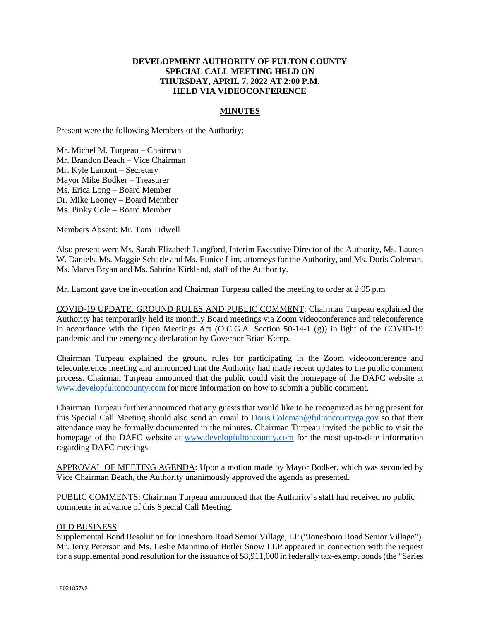## **DEVELOPMENT AUTHORITY OF FULTON COUNTY SPECIAL CALL MEETING HELD ON THURSDAY, APRIL 7, 2022 AT 2:00 P.M. HELD VIA VIDEOCONFERENCE**

## **MINUTES**

Present were the following Members of the Authority:

Mr. Michel M. Turpeau – Chairman Mr. Brandon Beach – Vice Chairman Mr. Kyle Lamont – Secretary Mayor Mike Bodker – Treasurer Ms. Erica Long – Board Member Dr. Mike Looney – Board Member Ms. Pinky Cole – Board Member

Members Absent: Mr. Tom Tidwell

Also present were Ms. Sarah-Elizabeth Langford, Interim Executive Director of the Authority, Ms. Lauren W. Daniels, Ms. Maggie Scharle and Ms. Eunice Lim, attorneys for the Authority, and Ms. Doris Coleman, Ms. Marva Bryan and Ms. Sabrina Kirkland, staff of the Authority.

Mr. Lamont gave the invocation and Chairman Turpeau called the meeting to order at 2:05 p.m.

COVID-19 UPDATE, GROUND RULES AND PUBLIC COMMENT: Chairman Turpeau explained the Authority has temporarily held its monthly Board meetings via Zoom videoconference and teleconference in accordance with the Open Meetings Act (O.C.G.A. Section 50-14-1 (g)) in light of the COVID-19 pandemic and the emergency declaration by Governor Brian Kemp.

Chairman Turpeau explained the ground rules for participating in the Zoom videoconference and teleconference meeting and announced that the Authority had made recent updates to the public comment process. Chairman Turpeau announced that the public could visit the homepage of the DAFC website at [www.developfultoncounty.com f](http://www.developfultoncounty.com/)or more information on how to submit a public comment.

Chairman Turpeau further announced that any guests that would like to be recognized as being present for this Special Call Meeting should also send an email to [Doris.Coleman@fultoncountyga.gov](mailto:Doris.Coleman@fultoncountyga.gov) so that their attendance may be formally documented in the minutes. Chairman Turpeau invited the public to visit the homepage of the DAFC website at [www.developfultoncounty.com](http://www.developfultoncounty.com/) for the most up-to-date information regarding DAFC meetings.

APPROVAL OF MEETING AGENDA: Upon a motion made by Mayor Bodker, which was seconded by Vice Chairman Beach, the Authority unanimously approved the agenda as presented.

PUBLIC COMMENTS: Chairman Turpeau announced that the Authority's staff had received no public comments in advance of this Special Call Meeting.

## OLD BUSINESS:

Supplemental Bond Resolution for Jonesboro Road Senior Village, LP ("Jonesboro Road Senior Village"). Mr. Jerry Peterson and Ms. Leslie Mannino of Butler Snow LLP appeared in connection with the request for a supplemental bond resolution for the issuance of \$8,911,000 in federally tax-exempt bonds (the "Series